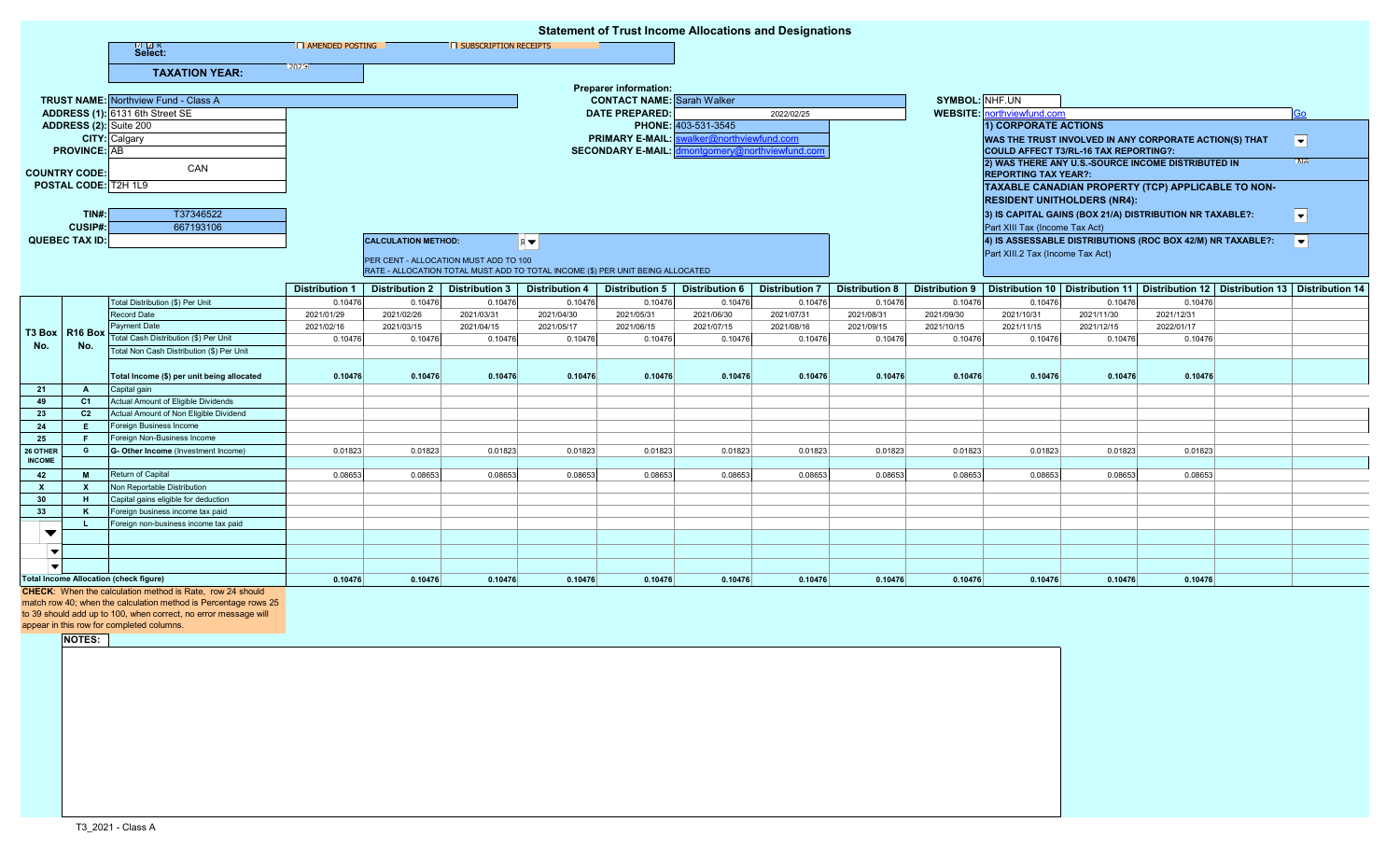| <b>Statement of Trust Income Allocations and Designations</b> |                                                           |                                                                    |                          |                                       |                       |                                                                                |                                                          |                       |                       |                       |                       |                                                                                                                             |                                   |                                                                                         |                |
|---------------------------------------------------------------|-----------------------------------------------------------|--------------------------------------------------------------------|--------------------------|---------------------------------------|-----------------------|--------------------------------------------------------------------------------|----------------------------------------------------------|-----------------------|-----------------------|-----------------------|-----------------------|-----------------------------------------------------------------------------------------------------------------------------|-----------------------------------|-----------------------------------------------------------------------------------------|----------------|
|                                                               |                                                           | ⊠ ™ R<br>Select:                                                   | <b>E AMENDED POSTING</b> |                                       | SUBSCRIPTION RECEIPTS |                                                                                |                                                          |                       |                       |                       |                       |                                                                                                                             |                                   |                                                                                         |                |
|                                                               |                                                           | <b>TAXATION YEAR:</b>                                              |                          |                                       |                       |                                                                                |                                                          |                       |                       |                       |                       |                                                                                                                             |                                   |                                                                                         |                |
|                                                               |                                                           |                                                                    |                          | <b>Preparer information:</b>          |                       |                                                                                |                                                          |                       |                       |                       |                       |                                                                                                                             |                                   |                                                                                         |                |
|                                                               |                                                           | <b>TRUST NAME:</b> Northview Fund - Class A                        |                          |                                       |                       |                                                                                | <b>CONTACT NAME:</b> Sarah Walker                        |                       |                       |                       | SYMBOL: NHF.UN        |                                                                                                                             |                                   |                                                                                         |                |
|                                                               |                                                           | ADDRESS (1): 6131 6th Street SE                                    |                          |                                       |                       |                                                                                | <b>DATE PREPARED:</b>                                    | 2022/02/25            |                       |                       |                       |                                                                                                                             | <b>WEBSITE:</b> northviewfund.com |                                                                                         | Go             |
| ADDRESS (2): Suite 200                                        |                                                           |                                                                    |                          |                                       |                       |                                                                                |                                                          | PHONE: 403-531-3545   |                       |                       |                       | <b>1) CORPORATE ACTIONS</b>                                                                                                 |                                   |                                                                                         |                |
|                                                               |                                                           | <b>CITY:</b> Calgary                                               |                          |                                       |                       |                                                                                | <b>PRIMARY E-MAIL:</b><br>valker@northviewfund.com       |                       |                       |                       |                       | WAS THE TRUST INVOLVED IN ANY CORPORATE ACTION(S) THAT<br>$\vert \mathbf{v} \vert$<br>COULD AFFECT T3/RL-16 TAX REPORTING?: |                                   |                                                                                         |                |
| <b>PROVINCE: AB</b>                                           |                                                           |                                                                    |                          |                                       |                       |                                                                                | <b>SECONDARY E-MAIL:</b><br>montgomery@northviewfund.cor |                       |                       |                       |                       |                                                                                                                             |                                   |                                                                                         |                |
| <b>COUNTRY CODE:</b>                                          |                                                           | CAN                                                                |                          |                                       |                       |                                                                                |                                                          |                       |                       |                       |                       | 2) WAS THERE ANY U.S.-SOURCE INCOME DISTRIBUTED IN<br><b>REPORTING TAX YEAR?:</b>                                           |                                   |                                                                                         | 'NE            |
| POSTAL CODE: T2H 1L9                                          |                                                           |                                                                    |                          |                                       |                       |                                                                                |                                                          |                       |                       |                       |                       |                                                                                                                             |                                   |                                                                                         |                |
|                                                               |                                                           |                                                                    |                          |                                       |                       |                                                                                |                                                          |                       |                       |                       |                       |                                                                                                                             |                                   | TAXABLE CANADIAN PROPERTY (TCP) APPLICABLE TO NON-                                      |                |
|                                                               |                                                           |                                                                    |                          |                                       |                       |                                                                                |                                                          |                       |                       |                       |                       | <b>RESIDENT UNITHOLDERS (NR4):</b>                                                                                          |                                   |                                                                                         |                |
| TIN#<br><b>CUSIP#:</b>                                        |                                                           | T37346522<br>667193106                                             |                          |                                       |                       |                                                                                |                                                          |                       |                       |                       |                       |                                                                                                                             |                                   | 3) IS CAPITAL GAINS (BOX 21/A) DISTRIBUTION NR TAXABLE?:                                | $ \mathbf{v} $ |
| <b>QUEBEC TAX ID:</b>                                         |                                                           |                                                                    |                          |                                       |                       |                                                                                |                                                          |                       |                       |                       |                       | Part XIII Tax (Income Tax Act)                                                                                              |                                   |                                                                                         |                |
|                                                               |                                                           |                                                                    |                          | <b>CALCULATION METHOD:</b>            |                       | RV                                                                             |                                                          |                       |                       |                       |                       | Part XIII.2 Tax (Income Tax Act)                                                                                            |                                   | 4) IS ASSESSABLE DISTRIBUTIONS (ROC BOX 42/M) NR TAXABLE?:                              | $ \bullet $    |
|                                                               |                                                           |                                                                    |                          | PER CENT - ALLOCATION MUST ADD TO 100 |                       |                                                                                |                                                          |                       |                       |                       |                       |                                                                                                                             |                                   |                                                                                         |                |
|                                                               |                                                           |                                                                    |                          |                                       |                       | RATE - ALLOCATION TOTAL MUST ADD TO TOTAL INCOME (\$) PER UNIT BEING ALLOCATED |                                                          |                       |                       |                       |                       |                                                                                                                             |                                   |                                                                                         |                |
|                                                               |                                                           |                                                                    | <b>Distribution 1</b>    | <b>Distribution 2</b>                 | <b>Distribution 3</b> | <b>Distribution 4</b>                                                          | <b>Distribution 5</b>                                    | <b>Distribution 6</b> | <b>Distribution 7</b> | <b>Distribution 8</b> | <b>Distribution 9</b> |                                                                                                                             |                                   | Distribution 10   Distribution 11   Distribution 12   Distribution 13   Distribution 14 |                |
| T3 Box R16 Box<br>No.                                         |                                                           | Total Distribution (\$) Per Unit                                   | 0.10476                  | 0.10476                               | 0.10476               | 0.10476                                                                        | 0.10476                                                  | 0.10476               | 0.10476               | 0.10476               | 0.10476               | 0.10476                                                                                                                     | 0.10476                           | 0.10476                                                                                 |                |
|                                                               |                                                           | <b>Record Date</b>                                                 | 2021/01/29               | 2021/02/26                            | 2021/03/31            | 2021/04/30                                                                     | 2021/05/31                                               | 2021/06/30            | 2021/07/31            | 2021/08/31            | 2021/09/30            | 2021/10/31                                                                                                                  | 2021/11/30                        | 2021/12/31                                                                              |                |
|                                                               |                                                           | Payment Date                                                       | 2021/02/16               | 2021/03/15                            | 2021/04/15            | 2021/05/17                                                                     | 2021/06/15                                               | 2021/07/15            | 2021/08/16            | 2021/09/15            | 2021/10/15            | 2021/11/15                                                                                                                  | 2021/12/15                        | 2022/01/17                                                                              |                |
|                                                               | No.                                                       | Total Cash Distribution (\$) Per Unit                              | 0.1047                   | 0.10476                               | 0.10476               | 0.10476                                                                        | 0.10476                                                  | 0.10476               | 0.10476               | 0.10476               | 0.10476               | 0.10476                                                                                                                     | 0.10476                           | 0.10476                                                                                 |                |
|                                                               |                                                           | Total Non Cash Distribution (\$) Per Unit                          |                          |                                       |                       |                                                                                |                                                          |                       |                       |                       |                       |                                                                                                                             |                                   |                                                                                         |                |
|                                                               |                                                           | Total Income (\$) per unit being allocated                         | 0.10476                  | 0.10476                               | 0.10476               | 0.10476                                                                        | 0.10476                                                  | 0.10476               | 0.10476               | 0.10476               | 0.10476               | 0.10476                                                                                                                     | 0.10476                           | 0.10476                                                                                 |                |
| 21                                                            | A                                                         | Capital gain                                                       |                          |                                       |                       |                                                                                |                                                          |                       |                       |                       |                       |                                                                                                                             |                                   |                                                                                         |                |
| 49                                                            | C <sub>1</sub>                                            | Actual Amount of Eligible Dividends                                |                          |                                       |                       |                                                                                |                                                          |                       |                       |                       |                       |                                                                                                                             |                                   |                                                                                         |                |
| 23                                                            | C <sub>2</sub>                                            | Actual Amount of Non Eligible Dividend                             |                          |                                       |                       |                                                                                |                                                          |                       |                       |                       |                       |                                                                                                                             |                                   |                                                                                         |                |
| 24                                                            | E.                                                        | Foreign Business Income                                            |                          |                                       |                       |                                                                                |                                                          |                       |                       |                       |                       |                                                                                                                             |                                   |                                                                                         |                |
| 25                                                            | G                                                         | Foreign Non-Business Income<br>G- Other Income (Investment Income) |                          |                                       |                       |                                                                                |                                                          |                       |                       |                       |                       |                                                                                                                             |                                   |                                                                                         |                |
| 26 OTHER<br><b>INCOME</b>                                     |                                                           |                                                                    | 0.01823                  | 0.01823                               | 0.01823               | 0.01823                                                                        | 0.01823                                                  | 0.01823               | 0.01823               | 0.01823               | 0.01823               | 0.01823                                                                                                                     | 0.01823                           | 0.01823                                                                                 |                |
| 42                                                            | <b>M</b>                                                  | Return of Capital                                                  | 0.08653                  | 0.08653                               | 0.08653               | 0.08653                                                                        | 0.08653                                                  | 0.08653               | 0.08653               | 0.08653               | 0.08653               | 0.08653                                                                                                                     | 0.08653                           | 0.08653                                                                                 |                |
| <b>X</b>                                                      | X                                                         | Non Reportable Distribution                                        |                          |                                       |                       |                                                                                |                                                          |                       |                       |                       |                       |                                                                                                                             |                                   |                                                                                         |                |
| 30                                                            | H                                                         | Capital gains eligible for deduction                               |                          |                                       |                       |                                                                                |                                                          |                       |                       |                       |                       |                                                                                                                             |                                   |                                                                                         |                |
| 33                                                            | K                                                         | Foreign business income tax paid                                   |                          |                                       |                       |                                                                                |                                                          |                       |                       |                       |                       |                                                                                                                             |                                   |                                                                                         |                |
|                                                               |                                                           | Foreign non-business income tax paid                               |                          |                                       |                       |                                                                                |                                                          |                       |                       |                       |                       |                                                                                                                             |                                   |                                                                                         |                |
| ▼                                                             |                                                           |                                                                    |                          |                                       |                       |                                                                                |                                                          |                       |                       |                       |                       |                                                                                                                             |                                   |                                                                                         |                |
| $\blacksquare$                                                |                                                           |                                                                    |                          |                                       |                       |                                                                                |                                                          |                       |                       |                       |                       |                                                                                                                             |                                   |                                                                                         |                |
|                                                               |                                                           |                                                                    |                          |                                       |                       |                                                                                |                                                          |                       |                       |                       |                       |                                                                                                                             |                                   |                                                                                         |                |
| <b>Total Income Allocation (check figure)</b>                 |                                                           |                                                                    | 0.10476                  | 0.10476                               | 0.10476               | 0.10476                                                                        | 0.10476                                                  | 0.10476               | 0.10476               | 0.10476               | 0.10476               | 0.10476                                                                                                                     | 0.10476                           | 0.10476                                                                                 |                |
|                                                               | CHECK: When the calculation method is Rate, row 24 should |                                                                    |                          |                                       |                       |                                                                                |                                                          |                       |                       |                       |                       |                                                                                                                             |                                   |                                                                                         |                |

match row 40; when the calculation method is Percentage rows 25

to 39 should add up to 100, when correct, no error message will

appear in this row for completed columns.

**NOTES:**